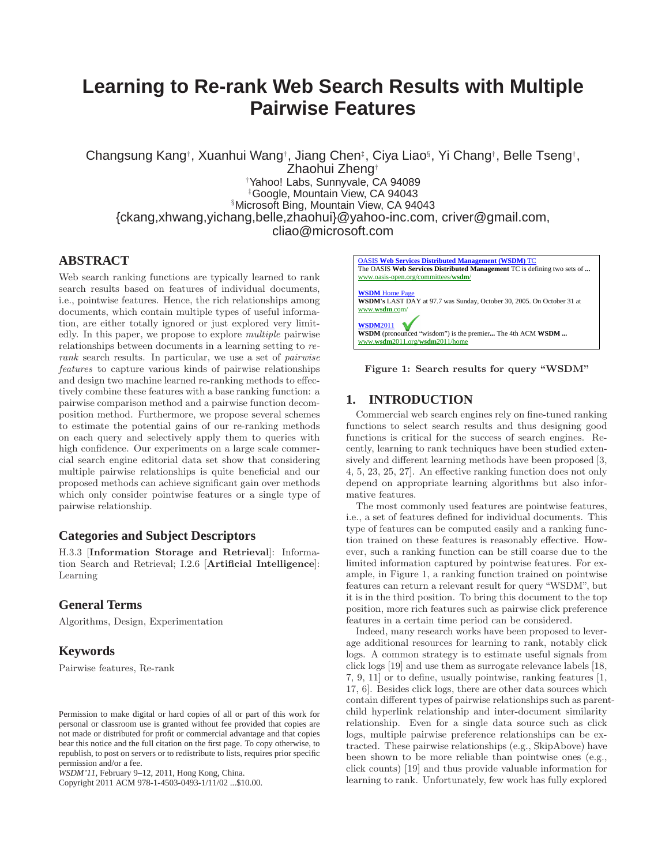# **Learning to Re-rank Web Search Results with Multiple Pairwise Features**

Changsung Kang<sup>†</sup>, Xuanhui Wang<sup>†</sup>, Jiang Chen<sup>‡</sup>, Ciya Liao<sup>§</sup>, Yi Chang<sup>†</sup>, Belle Tseng†, Zhaohui Zheng<sup>†</sup> †Yahoo! Labs, Sunnyvale, CA 94089 ‡Google, Mountain View, CA 94043 §Microsoft Bing, Mountain View, CA 94043 {ckang,xhwang,yichang,belle,zhaohui}@yahoo-inc.com, criver@gmail.com, cliao@microsoft.com

# **ABSTRACT**

Web search ranking functions are typically learned to rank search results based on features of individual documents, i.e., pointwise features. Hence, the rich relationships among documents, which contain multiple types of useful information, are either totally ignored or just explored very limitedly. In this paper, we propose to explore multiple pairwise relationships between documents in a learning setting to rerank search results. In particular, we use a set of pairwise features to capture various kinds of pairwise relationships and design two machine learned re-ranking methods to effectively combine these features with a base ranking function: a pairwise comparison method and a pairwise function decomposition method. Furthermore, we propose several schemes to estimate the potential gains of our re-ranking methods on each query and selectively apply them to queries with high confidence. Our experiments on a large scale commercial search engine editorial data set show that considering multiple pairwise relationships is quite beneficial and our proposed methods can achieve significant gain over methods which only consider pointwise features or a single type of pairwise relationship.

# **Categories and Subject Descriptors**

H.3.3 [Information Storage and Retrieval]: Information Search and Retrieval; I.2.6 [Artificial Intelligence]: Learning

## **General Terms**

Algorithms, Design, Experimentation

## **Keywords**

Pairwise features, Re-rank

Copyright 2011 ACM 978-1-4503-0493-1/11/02 ...\$10.00.



Figure 1: Search results for query "WSDM"

# **1. INTRODUCTION**

Commercial web search engines rely on fine-tuned ranking functions to select search results and thus designing good functions is critical for the success of search engines. Recently, learning to rank techniques have been studied extensively and different learning methods have been proposed [3, 4, 5, 23, 25, 27]. An effective ranking function does not only depend on appropriate learning algorithms but also informative features.

The most commonly used features are pointwise features, i.e., a set of features defined for individual documents. This type of features can be computed easily and a ranking function trained on these features is reasonably effective. However, such a ranking function can be still coarse due to the limited information captured by pointwise features. For example, in Figure 1, a ranking function trained on pointwise features can return a relevant result for query "WSDM", but it is in the third position. To bring this document to the top position, more rich features such as pairwise click preference features in a certain time period can be considered.

Indeed, many research works have been proposed to leverage additional resources for learning to rank, notably click logs. A common strategy is to estimate useful signals from click logs [19] and use them as surrogate relevance labels [18, 7, 9, 11] or to define, usually pointwise, ranking features [1, 17, 6]. Besides click logs, there are other data sources which contain different types of pairwise relationships such as parentchild hyperlink relationship and inter-document similarity relationship. Even for a single data source such as click logs, multiple pairwise preference relationships can be extracted. These pairwise relationships (e.g., SkipAbove) have been shown to be more reliable than pointwise ones (e.g., click counts) [19] and thus provide valuable information for learning to rank. Unfortunately, few work has fully explored

Permission to make digital or hard copies of all or part of this work for personal or classroom use is granted without fee provided that copies are not made or distributed for profit or commercial advantage and that copies bear this notice and the full citation on the first page. To copy otherwise, to republish, to post on servers or to redistribute to lists, requires prior specific permission and/or a fee.

*WSDM'11,* February 9–12, 2011, Hong Kong, China.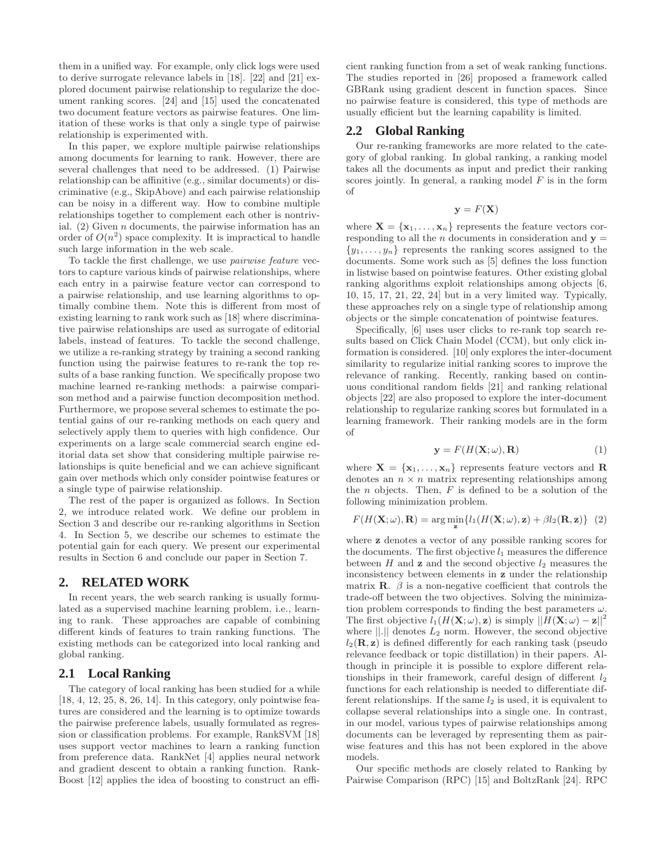them in a unified way. For example, only click logs were used to derive surrogate relevance labels in [18]. [22] and [21] explored document pairwise relationship to regularize the document ranking scores. [24] and [15] used the concatenated two document feature vectors as pairwise features. One limitation of these works is that only a single type of pairwise relationship is experimented with.

In this paper, we explore multiple pairwise relationships among documents for learning to rank. However, there are several challenges that need to be addressed. (1) Pairwise relationship can be affinitive (e.g., similar documents) or discriminative (e.g., SkipAbove) and each pairwise relationship can be noisy in a different way. How to combine multiple relationships together to complement each other is nontrivial.  $(2)$  Given *n* documents, the pairwise information has an order of  $O(n^2)$  space complexity. It is impractical to handle such large information in the web scale.

To tackle the first challenge, we use pairwise feature vectors to capture various kinds of pairwise relationships, where each entry in a pairwise feature vector can correspond to a pairwise relationship, and use learning algorithms to optimally combine them. Note this is different from most of existing learning to rank work such as [18] where discriminative pairwise relationships are used as surrogate of editorial labels, instead of features. To tackle the second challenge, we utilize a re-ranking strategy by training a second ranking function using the pairwise features to re-rank the top results of a base ranking function. We specifically propose two machine learned re-ranking methods: a pairwise comparison method and a pairwise function decomposition method. Furthermore, we propose several schemes to estimate the potential gains of our re-ranking methods on each query and selectively apply them to queries with high confidence. Our experiments on a large scale commercial search engine editorial data set show that considering multiple pairwise relationships is quite beneficial and we can achieve significant gain over methods which only consider pointwise features or a single type of pairwise relationship.

The rest of the paper is organized as follows. In Section 2, we introduce related work. We define our problem in Section 3 and describe our re-ranking algorithms in Section 4. In Section 5, we describe our schemes to estimate the potential gain for each query. We present our experimental results in Section 6 and conclude our paper in Section 7.

## **2. RELATED WORK**

In recent years, the web search ranking is usually formulated as a supervised machine learning problem, i.e., learning to rank. These approaches are capable of combining different kinds of features to train ranking functions. The existing methods can be categorized into local ranking and global ranking.

# **2.1 Local Ranking**

The category of local ranking has been studied for a while [18, 4, 12, 25, 8, 26, 14]. In this category, only pointwise features are considered and the learning is to optimize towards the pairwise preference labels, usually formulated as regression or classification problems. For example, RankSVM [18] uses support vector machines to learn a ranking function from preference data. RankNet [4] applies neural network and gradient descent to obtain a ranking function. Rank-Boost [12] applies the idea of boosting to construct an efficient ranking function from a set of weak ranking functions. The studies reported in [26] proposed a framework called GBRank using gradient descent in function spaces. Since no pairwise feature is considered, this type of methods are usually efficient but the learning capability is limited.

# **2.2 Global Ranking**

Our re-ranking frameworks are more related to the category of global ranking. In global ranking, a ranking model takes all the documents as input and predict their ranking scores jointly. In general, a ranking model  $F$  is in the form of

$$
\mathbf{y} = F(\mathbf{X})
$$

where  $\mathbf{X} = {\mathbf{x}_1, \dots, \mathbf{x}_n}$  represents the feature vectors corresponding to all the *n* documents in consideration and  $y =$  $\{y_1, \ldots, y_n\}$  represents the ranking scores assigned to the documents. Some work such as [5] defines the loss function in listwise based on pointwise features. Other existing global ranking algorithms exploit relationships among objects [6, 10, 15, 17, 21, 22, 24] but in a very limited way. Typically, these approaches rely on a single type of relationship among objects or the simple concatenation of pointwise features.

Specifically, [6] uses user clicks to re-rank top search results based on Click Chain Model (CCM), but only click information is considered. [10] only explores the inter-document similarity to regularize initial ranking scores to improve the relevance of ranking. Recently, ranking based on continuous conditional random fields [21] and ranking relational objects [22] are also proposed to explore the inter-document relationship to regularize ranking scores but formulated in a learning framework. Their ranking models are in the form of

$$
\mathbf{y} = F(H(\mathbf{X}; \omega), \mathbf{R}) \tag{1}
$$

where  $\mathbf{X} = {\mathbf{x}_1, ..., \mathbf{x}_n}$  represents feature vectors and R denotes an  $n \times n$  matrix representing relationships among the *n* objects. Then,  $F$  is defined to be a solution of the following minimization problem.

$$
F(H(\mathbf{X};\omega),\mathbf{R}) = \arg\min_{\mathbf{z}} \{ l_1(H(\mathbf{X};\omega),\mathbf{z}) + \beta l_2(\mathbf{R},\mathbf{z}) \} \tag{2}
$$

where z denotes a vector of any possible ranking scores for the documents. The first objective  $l_1$  measures the difference between  $H$  and  $\boldsymbol{z}$  and the second objective  $l_2$  measures the inconsistency between elements in z under the relationship matrix **R**.  $\beta$  is a non-negative coefficient that controls the trade-off between the two objectives. Solving the minimization problem corresponds to finding the best parameters  $\omega$ . The first objective  $l_1(H(\mathbf{X};\omega), \mathbf{z})$  is simply  $||H(\mathbf{X};\omega) - \mathbf{z}||^2$ where  $||.||$  denotes  $L_2$  norm. However, the second objective  $l_2(\mathbf{R}, \mathbf{z})$  is defined differently for each ranking task (pseudo relevance feedback or topic distillation) in their papers. Although in principle it is possible to explore different relationships in their framework, careful design of different  $l_2$ functions for each relationship is needed to differentiate different relationships. If the same  $l_2$  is used, it is equivalent to collapse several relationships into a single one. In contrast, in our model, various types of pairwise relationships among documents can be leveraged by representing them as pairwise features and this has not been explored in the above models.

Our specific methods are closely related to Ranking by Pairwise Comparison (RPC) [15] and BoltzRank [24]. RPC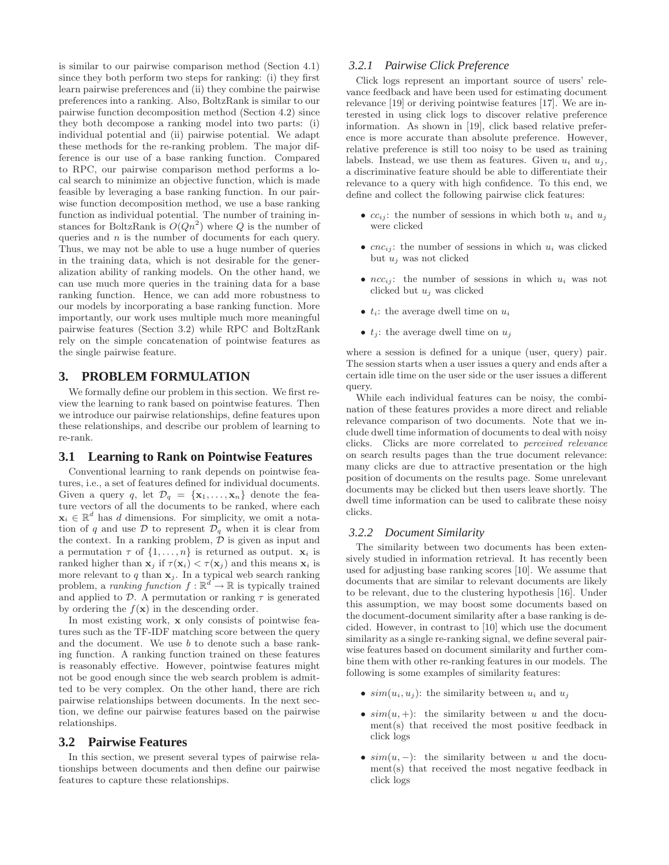is similar to our pairwise comparison method (Section 4.1) since they both perform two steps for ranking: (i) they first learn pairwise preferences and (ii) they combine the pairwise preferences into a ranking. Also, BoltzRank is similar to our pairwise function decomposition method (Section 4.2) since they both decompose a ranking model into two parts: (i) individual potential and (ii) pairwise potential. We adapt these methods for the re-ranking problem. The major difference is our use of a base ranking function. Compared to RPC, our pairwise comparison method performs a local search to minimize an objective function, which is made feasible by leveraging a base ranking function. In our pairwise function decomposition method, we use a base ranking function as individual potential. The number of training instances for BoltzRank is  $O(Qn^2)$  where Q is the number of queries and  $n$  is the number of documents for each query. Thus, we may not be able to use a huge number of queries in the training data, which is not desirable for the generalization ability of ranking models. On the other hand, we can use much more queries in the training data for a base ranking function. Hence, we can add more robustness to our models by incorporating a base ranking function. More importantly, our work uses multiple much more meaningful pairwise features (Section 3.2) while RPC and BoltzRank rely on the simple concatenation of pointwise features as the single pairwise feature.

# **3. PROBLEM FORMULATION**

We formally define our problem in this section. We first review the learning to rank based on pointwise features. Then we introduce our pairwise relationships, define features upon these relationships, and describe our problem of learning to re-rank.

# **3.1 Learning to Rank on Pointwise Features**

Conventional learning to rank depends on pointwise features, i.e., a set of features defined for individual documents. Given a query q, let  $\mathcal{D}_q = {\mathbf{x}_1, \dots, \mathbf{x}_n}$  denote the feature vectors of all the documents to be ranked, where each  $\mathbf{x}_i \in \mathbb{R}^d$  has d dimensions. For simplicity, we omit a notation of q and use  $\mathcal D$  to represent  $\mathcal D_q$  when it is clear from the context. In a ranking problem,  $D$  is given as input and a permutation  $\tau$  of  $\{1, \ldots, n\}$  is returned as output.  $\mathbf{x}_i$  is ranked higher than  $\mathbf{x}_j$  if  $\tau(\mathbf{x}_i) < \tau(\mathbf{x}_j)$  and this means  $\mathbf{x}_i$  is more relevant to  $q$  than  $x_j$ . In a typical web search ranking problem, a *ranking function*  $f : \mathbb{R}^d \to \mathbb{R}$  is typically trained and applied to  $\mathcal{D}$ . A permutation or ranking  $\tau$  is generated by ordering the  $f(\mathbf{x})$  in the descending order.

In most existing work, x only consists of pointwise features such as the TF-IDF matching score between the query and the document. We use  $b$  to denote such a base ranking function. A ranking function trained on these features is reasonably effective. However, pointwise features might not be good enough since the web search problem is admitted to be very complex. On the other hand, there are rich pairwise relationships between documents. In the next section, we define our pairwise features based on the pairwise relationships.

## **3.2 Pairwise Features**

In this section, we present several types of pairwise relationships between documents and then define our pairwise features to capture these relationships.

## *3.2.1 Pairwise Click Preference*

Click logs represent an important source of users' relevance feedback and have been used for estimating document relevance [19] or deriving pointwise features [17]. We are interested in using click logs to discover relative preference information. As shown in [19], click based relative preference is more accurate than absolute preference. However, relative preference is still too noisy to be used as training labels. Instead, we use them as features. Given  $u_i$  and  $u_j$ , a discriminative feature should be able to differentiate their relevance to a query with high confidence. To this end, we define and collect the following pairwise click features:

- $cc_{ij}$ : the number of sessions in which both  $u_i$  and  $u_j$ were clicked
- $cnc_{ij}$ : the number of sessions in which  $u_i$  was clicked but  $u_i$  was not clicked
- $ncc_{ij}$ : the number of sessions in which  $u_i$  was not clicked but  $u_i$  was clicked
- $t_i$ : the average dwell time on  $u_i$
- $t_j$ : the average dwell time on  $u_j$

where a session is defined for a unique (user, query) pair. The session starts when a user issues a query and ends after a certain idle time on the user side or the user issues a different query.

While each individual features can be noisy, the combination of these features provides a more direct and reliable relevance comparison of two documents. Note that we include dwell time information of documents to deal with noisy clicks. Clicks are more correlated to perceived relevance on search results pages than the true document relevance: many clicks are due to attractive presentation or the high position of documents on the results page. Some unrelevant documents may be clicked but then users leave shortly. The dwell time information can be used to calibrate these noisy clicks.

#### *3.2.2 Document Similarity*

The similarity between two documents has been extensively studied in information retrieval. It has recently been used for adjusting base ranking scores [10]. We assume that documents that are similar to relevant documents are likely to be relevant, due to the clustering hypothesis [16]. Under this assumption, we may boost some documents based on the document-document similarity after a base ranking is decided. However, in contrast to [10] which use the document similarity as a single re-ranking signal, we define several pairwise features based on document similarity and further combine them with other re-ranking features in our models. The following is some examples of similarity features:

- $sim(u_i, u_j)$ : the similarity between  $u_i$  and  $u_j$
- $sim(u, +)$ : the similarity between u and the document(s) that received the most positive feedback in click logs
- $sim(u, -)$ : the similarity between u and the document(s) that received the most negative feedback in click logs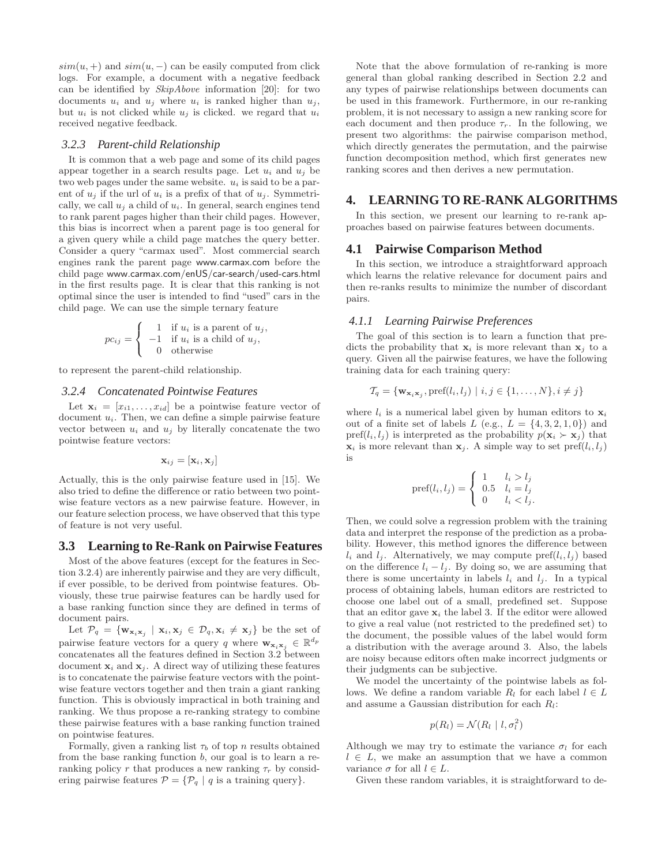$sim(u, +)$  and  $sim(u, -)$  can be easily computed from click logs. For example, a document with a negative feedback can be identified by SkipAbove information [20]: for two documents  $u_i$  and  $u_j$  where  $u_i$  is ranked higher than  $u_j$ , but  $u_i$  is not clicked while  $u_j$  is clicked. we regard that  $u_i$ received negative feedback.

#### *3.2.3 Parent-child Relationship*

It is common that a web page and some of its child pages appear together in a search results page. Let  $u_i$  and  $u_j$  be two web pages under the same website.  $u_i$  is said to be a parent of  $u_j$  if the url of  $u_i$  is a prefix of that of  $u_j$ . Symmetrically, we call  $u_i$  a child of  $u_i$ . In general, search engines tend to rank parent pages higher than their child pages. However, this bias is incorrect when a parent page is too general for a given query while a child page matches the query better. Consider a query "carmax used". Most commercial search engines rank the parent page www.carmax.com before the child page www.carmax.com/enUS/car-search/used-cars.html in the first results page. It is clear that this ranking is not optimal since the user is intended to find "used" cars in the child page. We can use the simple ternary feature

$$
pc_{ij} = \begin{cases} 1 & \text{if } u_i \text{ is a parent of } u_j, \\ -1 & \text{if } u_i \text{ is a child of } u_j, \\ 0 & \text{otherwise} \end{cases}
$$

to represent the parent-child relationship.

#### *3.2.4 Concatenated Pointwise Features*

Let  $\mathbf{x}_i = [x_{i1}, \ldots, x_{id}]$  be a pointwise feature vector of document  $u_i$ . Then, we can define a simple pairwise feature vector between  $u_i$  and  $u_j$  by literally concatenate the two pointwise feature vectors:

$$
\mathbf{x}_{ij} = [\mathbf{x}_i, \mathbf{x}_j]
$$

Actually, this is the only pairwise feature used in [15]. We also tried to define the difference or ratio between two pointwise feature vectors as a new pairwise feature. However, in our feature selection process, we have observed that this type of feature is not very useful.

#### **3.3 Learning to Re-Rank on Pairwise Features**

Most of the above features (except for the features in Section 3.2.4) are inherently pairwise and they are very difficult, if ever possible, to be derived from pointwise features. Obviously, these true pairwise features can be hardly used for a base ranking function since they are defined in terms of document pairs.

Let  $\mathcal{P}_q = \{ \mathbf{w}_{\mathbf{x}_i \mathbf{x}_j} \mid \mathbf{x}_i, \mathbf{x}_j \in \mathcal{D}_q, \mathbf{x}_i \neq \mathbf{x}_j \}$  be the set of pairwise feature vectors for a query q where  $\mathbf{w}_{\mathbf{x}_i\mathbf{x}_j} \in \mathbb{R}^{d_p}$ concatenates all the features defined in Section 3.2 between document  $x_i$  and  $x_j$ . A direct way of utilizing these features is to concatenate the pairwise feature vectors with the pointwise feature vectors together and then train a giant ranking function. This is obviously impractical in both training and ranking. We thus propose a re-ranking strategy to combine these pairwise features with a base ranking function trained on pointwise features.

Formally, given a ranking list  $\tau_b$  of top n results obtained from the base ranking function  $b$ , our goal is to learn a reranking policy r that produces a new ranking  $\tau_r$  by considering pairwise features  $\mathcal{P} = {\mathcal{P}_q \mid q$  is a training query.

Note that the above formulation of re-ranking is more general than global ranking described in Section 2.2 and any types of pairwise relationships between documents can be used in this framework. Furthermore, in our re-ranking problem, it is not necessary to assign a new ranking score for each document and then produce  $\tau_r$ . In the following, we present two algorithms: the pairwise comparison method, which directly generates the permutation, and the pairwise function decomposition method, which first generates new ranking scores and then derives a new permutation.

## **4. LEARNING TO RE-RANK ALGORITHMS**

In this section, we present our learning to re-rank approaches based on pairwise features between documents.

## **4.1 Pairwise Comparison Method**

In this section, we introduce a straightforward approach which learns the relative relevance for document pairs and then re-ranks results to minimize the number of discordant pairs.

## *4.1.1 Learning Pairwise Preferences*

The goal of this section is to learn a function that predicts the probability that  $x_i$  is more relevant than  $x_i$  to a query. Given all the pairwise features, we have the following training data for each training query:

$$
\mathcal{T}_q = \{ \mathbf{w}_{\mathbf{x}_i \mathbf{x}_j}, \text{pref}(l_i, l_j) \mid i, j \in \{1, \dots, N\}, i \neq j \}
$$

where  $l_i$  is a numerical label given by human editors to  $\mathbf{x}_i$ out of a finite set of labels L (e.g.,  $L = \{4, 3, 2, 1, 0\}$ ) and pref( $l_i, l_j$ ) is interpreted as the probability  $p(\mathbf{x}_i \succ \mathbf{x}_j)$  that  $x_i$  is more relevant than  $x_i$ . A simple way to set  $\text{pref}(l_i, l_j)$ is

$$
\text{pref}(l_i, l_j) = \begin{cases} 1 & l_i > l_j \\ 0.5 & l_i = l_j \\ 0 & l_i < l_j. \end{cases}
$$

Then, we could solve a regression problem with the training data and interpret the response of the prediction as a probability. However, this method ignores the difference between  $l_i$  and  $l_j$ . Alternatively, we may compute  $\text{pref}(l_i, l_j)$  based on the difference  $l_i - l_j$ . By doing so, we are assuming that there is some uncertainty in labels  $l_i$  and  $l_j$ . In a typical process of obtaining labels, human editors are restricted to choose one label out of a small, predefined set. Suppose that an editor gave  $x_i$  the label 3. If the editor were allowed to give a real value (not restricted to the predefined set) to the document, the possible values of the label would form a distribution with the average around 3. Also, the labels are noisy because editors often make incorrect judgments or their judgments can be subjective.

We model the uncertainty of the pointwise labels as follows. We define a random variable  $R_l$  for each label  $l \in L$ and assume a Gaussian distribution for each  $R_l$ :

$$
p(R_l) = \mathcal{N}(R_l \mid l, \sigma_l^2)
$$

Although we may try to estimate the variance  $\sigma_l$  for each  $l \in L$ , we make an assumption that we have a common variance  $\sigma$  for all  $l \in L$ .

Given these random variables, it is straightforward to de-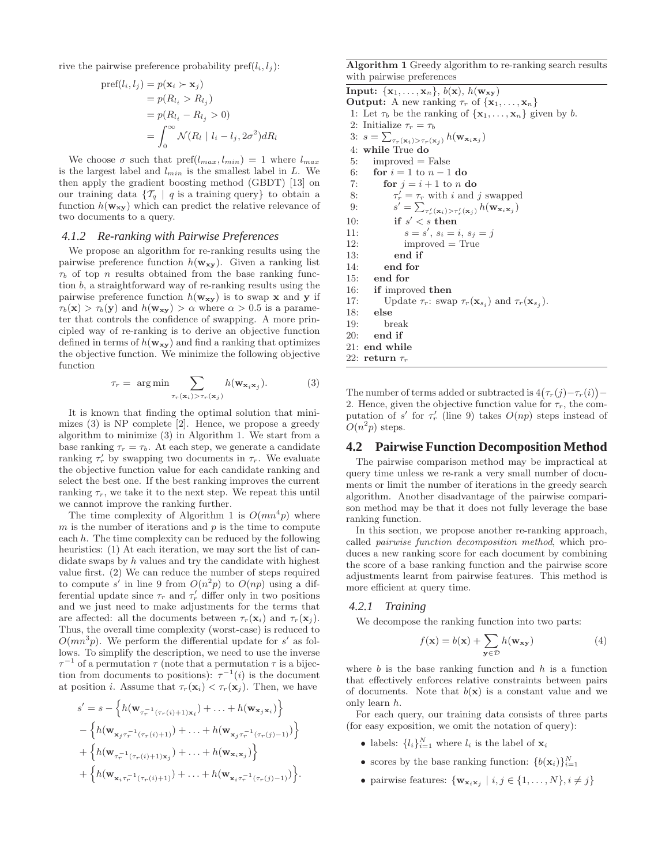rive the pairwise preference probability  $\text{pref}(l_i, l_j)$ :

$$
\begin{aligned} \operatorname{pref}(l_i, l_j) &= p(\mathbf{x}_i \succ \mathbf{x}_j) \\ &= p(R_{l_i} > R_{l_j}) \\ &= p(R_{l_i} - R_{l_j} > 0) \\ &= \int_0^\infty \mathcal{N}(R_l \mid l_i - l_j, 2\sigma^2) dR_l \end{aligned}
$$

We choose  $\sigma$  such that  $pref(l_{max}, l_{min})=1$  where  $l_{max}$ is the largest label and  $l_{min}$  is the smallest label in  $L$ . We then apply the gradient boosting method (GBDT) [13] on our training data  $\{\mathcal{T}_q \mid q \text{ is a training query}\}\)$  to obtain a function  $h(\mathbf{w}_{xy})$  which can predict the relative relevance of two documents to a query.

#### *4.1.2 Re-ranking with Pairwise Preferences*

We propose an algorithm for re-ranking results using the pairwise preference function  $h(\mathbf{w}_{xy})$ . Given a ranking list  $\tau_b$  of top *n* results obtained from the base ranking function b, a straightforward way of re-ranking results using the pairwise preference function  $h(\mathbf{w}_{xy})$  is to swap x and y if  $\tau_b(\mathbf{x}) > \tau_b(\mathbf{y})$  and  $h(\mathbf{w_{xy}}) > \alpha$  where  $\alpha > 0.5$  is a parameter that controls the confidence of swapping. A more principled way of re-ranking is to derive an objective function defined in terms of  $h(\mathbf{w}_{xy})$  and find a ranking that optimizes the objective function. We minimize the following objective function

$$
\tau_r = \arg \min \sum_{\tau_r(\mathbf{x}_i) > \tau_r(\mathbf{x}_j)} h(\mathbf{w}_{\mathbf{x}_i \mathbf{x}_j}). \tag{3}
$$

It is known that finding the optimal solution that minimizes (3) is NP complete [2]. Hence, we propose a greedy algorithm to minimize (3) in Algorithm 1. We start from a base ranking  $\tau_r = \tau_b$ . At each step, we generate a candidate ranking  $\tau'_r$  by swapping two documents in  $\tau_r$ . We evaluate the objective function value for each candidate ranking and select the best one. If the best ranking improves the current ranking  $\tau_r$ , we take it to the next step. We repeat this until we cannot improve the ranking further.

The time complexity of Algorithm 1 is  $O(mn^4p)$  where  $m$  is the number of iterations and  $p$  is the time to compute each h. The time complexity can be reduced by the following heuristics: (1) At each iteration, we may sort the list of candidate swaps by h values and try the candidate with highest value first. (2) We can reduce the number of steps required to compute s' in line 9 from  $O(n^2p)$  to  $O(np)$  using a differential update since  $\tau_r$  and  $\tau'_r$  differ only in two positions and we just need to make adjustments for the terms that are affected: all the documents between  $\tau_r(\mathbf{x}_i)$  and  $\tau_r(\mathbf{x}_j)$ . Thus, the overall time complexity (worst-case) is reduced to  $O(mn^3p)$ . We perform the differential update for s' as follows. To simplify the description, we need to use the inverse  $\tau^{-1}$  of a permutation  $\tau$  (note that a permutation  $\tau$  is a bijection from documents to positions):  $\tau^{-1}(i)$  is the document at position *i*. Assume that  $\tau_r(\mathbf{x}_i) < \tau_r(\mathbf{x}_j)$ . Then, we have

$$
s' = s - \Big\{ h(\mathbf{w}_{\tau_r^{-1}(\tau_r(i)+1)\mathbf{x}_i}) + \ldots + h(\mathbf{w}_{\mathbf{x}_j\mathbf{x}_i}) \Big\} - \Big\{ h(\mathbf{w}_{\mathbf{x}_j\tau_r^{-1}(\tau_r(i)+1)}) + \ldots + h(\mathbf{w}_{\mathbf{x}_j\tau_r^{-1}(\tau_r(j)-1)}) \Big\} + \Big\{ h(\mathbf{w}_{\tau_r^{-1}(\tau_r(i)+1)\mathbf{x}_j}) + \ldots + h(\mathbf{w}_{\mathbf{x}_i\mathbf{x}_j}) \Big\} + \Big\{ h(\mathbf{w}_{\mathbf{x}_i\tau_r^{-1}(\tau_r(i)+1)}) + \ldots + h(\mathbf{w}_{\mathbf{x}_i\tau_r^{-1}(\tau_r(j)-1)}) \Big\}.
$$

Algorithm 1 Greedy algorithm to re-ranking search results with pairwise preferences

Input:  $\{x_1, \ldots, x_n\}$ ,  $b(x)$ ,  $h(\mathbf{w_{xy}})$ **Output:** A new ranking  $\tau_r$  of  $\{x_1, \ldots, x_n\}$ 1: Let  $\tau_b$  be the ranking of  $\{x_1, \ldots, x_n\}$  given by b. 2: Initialize  $\tau_r = \tau_b$ 3:  $s = \sum_{\tau_r(\mathbf{x}_i) > \tau_r(\mathbf{x}_j)} h(\mathbf{w}_{\mathbf{x}_i \mathbf{x}_j})$ 4: while True do 5: improved  $=$  False 6: **for**  $i = 1$  to  $n - 1$  **do** 7: for  $j = i + 1$  to n do 8:  $\tau'_r = \tau_r$  with i and j swapped 9:  $s' = \sum_{\tau'_r(\mathbf{x}_i) > \tau'_r(\mathbf{x}_j)} h(\mathbf{w}_{\mathbf{x}_i \mathbf{x}_j})$ 10: if  $s' < s$  then 11:  $s = s', s_i = i, s_j = j$ 12: improved  $=$  True 13: end if 14: end for 15: end for 16: if improved then 17: Update  $\tau_r$ : swap  $\tau_r(\mathbf{x}_{s_i})$  and  $\tau_r(\mathbf{x}_{s_j})$ . 18: else 19: break<br>20: **end if** end if 21: end while 22: return  $\tau_r$ 

The number of terms added or subtracted is  $4(\tau_r(j)-\tau_r(i))$  – 2. Hence, given the objective function value for  $\tau_r$ , the computation of s' for  $\tau'_r$  (line 9) takes  $O(np)$  steps instead of  $O(n^2p)$  steps.

# **4.2 Pairwise Function Decomposition Method**

The pairwise comparison method may be impractical at query time unless we re-rank a very small number of documents or limit the number of iterations in the greedy search algorithm. Another disadvantage of the pairwise comparison method may be that it does not fully leverage the base ranking function.

In this section, we propose another re-ranking approach, called pairwise function decomposition method, which produces a new ranking score for each document by combining the score of a base ranking function and the pairwise score adjustments learnt from pairwise features. This method is more efficient at query time.

## *4.2.1 Training*

We decompose the ranking function into two parts:

$$
f(\mathbf{x}) = b(\mathbf{x}) + \sum_{\mathbf{y} \in \mathcal{D}} h(\mathbf{w}_{\mathbf{xy}})
$$
(4)

where  $b$  is the base ranking function and  $h$  is a function that effectively enforces relative constraints between pairs of documents. Note that  $b(x)$  is a constant value and we only learn h.

For each query, our training data consists of three parts (for easy exposition, we omit the notation of query):

- labels:  $\{l_i\}_{i=1}^N$  where  $l_i$  is the label of  $\mathbf{x}_i$
- scores by the base ranking function:  ${b(\mathbf{x}_i)}_{i=1}^N$
- pairwise features:  $\{ \mathbf{w}_{\mathbf{x}_i \mathbf{x}_j} \mid i, j \in \{1, ..., N\}, i \neq j \}$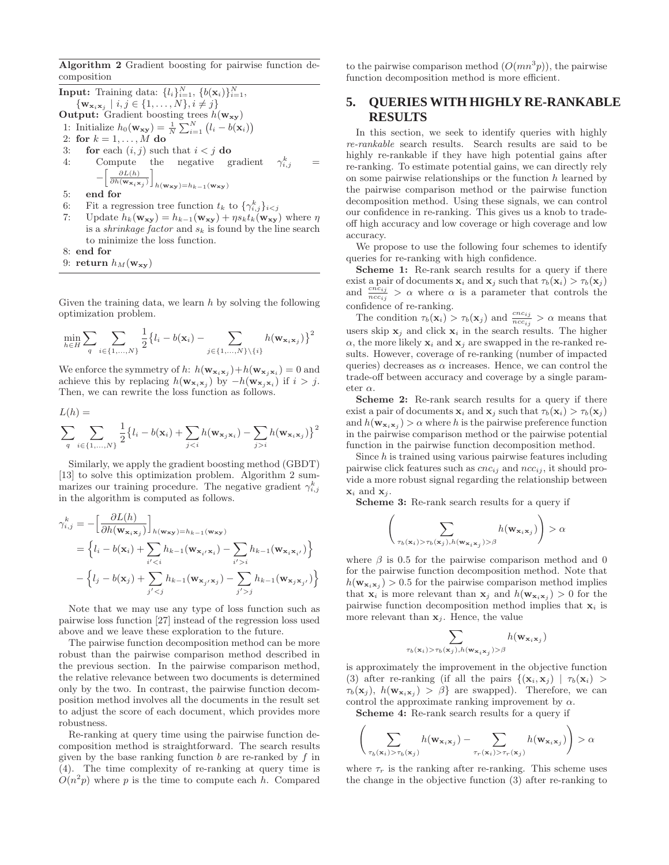Algorithm 2 Gradient boosting for pairwise function decomposition

**Input:** Training data:  $\{l_i\}_{i=1}^N$ ,  $\{b(\mathbf{x}_i)\}_{i=1}^N$ ,  $\{ \mathbf{w}_{\mathbf{x}_i \mathbf{x}_j} \mid i, j \in \{1, \dots, N\}, i \neq j \}$ **Output:** Gradient boosting trees  $h(\mathbf{w_{xy}})$ 1: Initialize  $h_0(\mathbf{w}_{\mathbf{x}\mathbf{y}}) = \frac{1}{N} \sum_{i=1}^{N} (l_i - b(\mathbf{x}_i))$ 2: for  $k = 1, \ldots, M$  do 3: for each  $(i, j)$  such that  $i < j$  do 4: Compute the negative gradient  $\frac{k}{i,j}$  = −  $\left[\frac{\partial L(h)}{\partial h(\mathbf{w_{x}}_{i}x_{j})}\right]$  $h(\mathbf{w_{xy}})=h_{k-1}(\mathbf{w_{xy}})$ 5: end for 6: Fit a regression tree function  $t_k$  to  $\{\gamma_{i,j}^k\}_{i\leq j}$ 7: Update  $h_k(\mathbf{w_{xy}}) = h_{k-1}(\mathbf{w_{xy}}) + \eta s_k t_k(\mathbf{w_{xy}})$  where  $\eta$ is a *shrinkage factor* and  $s_k$  is found by the line search to minimize the loss function.

8: end for

9: return  $h_M(\mathbf{w_{xy}})$ 

Given the training data, we learn  $h$  by solving the following optimization problem.

$$
\min_{h \in H} \sum_{q} \sum_{i \in \{1, ..., N\}} \frac{1}{2} \{ l_i - b(\mathbf{x}_i) - \sum_{j \in \{1, ..., N\} \setminus \{i\}} h(\mathbf{w}_{\mathbf{x}_i \mathbf{x}_j}) \}^2
$$

We enforce the symmetry of h:  $h(\mathbf{w}_{\mathbf{x}_i\mathbf{x}_j}) + h(\mathbf{w}_{\mathbf{x}_j\mathbf{x}_i}) = 0$  and achieve this by replacing  $h(\mathbf{w}_{\mathbf{x}_i\mathbf{x}_j})$  by  $-h(\mathbf{w}_{\mathbf{x}_j\mathbf{x}_i})$  if  $i > j$ . Then, we can rewrite the loss function as follows.

$$
L(h) = \sum_{q} \sum_{i \in \{1, ..., N\}} \frac{1}{2} \left\{ l_i - b(\mathbf{x}_i) + \sum_{j < i} h(\mathbf{w}_{\mathbf{x}_j \mathbf{x}_i}) - \sum_{j > i} h(\mathbf{w}_{\mathbf{x}_i \mathbf{x}_j}) \right\}^2
$$

Similarly, we apply the gradient boosting method (GBDT) [13] to solve this optimization problem. Algorithm 2 summarizes our training procedure. The negative gradient  $\gamma_{i,j}^k$ in the algorithm is computed as follows.

$$
\gamma_{i,j}^k = -\Big[\frac{\partial L(h)}{\partial h(\mathbf{w}_{\mathbf{x}_i\mathbf{x}_j})}\Big]_{h(\mathbf{w}_{\mathbf{x}\mathbf{y}})=h_{k-1}(\mathbf{w}_{\mathbf{x}\mathbf{y}})}
$$
\n
$$
= \Big\{l_i - b(\mathbf{x}_i) + \sum_{i' < i} h_{k-1}(\mathbf{w}_{\mathbf{x}_i/\mathbf{x}_i}) - \sum_{i' > i} h_{k-1}(\mathbf{w}_{\mathbf{x}_i/\mathbf{x}_i'})\Big\}
$$
\n
$$
- \Big\{l_j - b(\mathbf{x}_j) + \sum_{j' < j} h_{k-1}(\mathbf{w}_{\mathbf{x}_j/\mathbf{x}_j}) - \sum_{j' > j} h_{k-1}(\mathbf{w}_{\mathbf{x}_j/\mathbf{x}_j'})\Big\}
$$

Note that we may use any type of loss function such as pairwise loss function [27] instead of the regression loss used above and we leave these exploration to the future.

The pairwise function decomposition method can be more robust than the pairwise comparison method described in the previous section. In the pairwise comparison method, the relative relevance between two documents is determined only by the two. In contrast, the pairwise function decomposition method involves all the documents in the result set to adjust the score of each document, which provides more robustness.

Re-ranking at query time using the pairwise function decomposition method is straightforward. The search results given by the base ranking function  $b$  are re-ranked by  $f$  in (4). The time complexity of re-ranking at query time is  $O(n^2p)$  where p is the time to compute each h. Compared

to the pairwise comparison method  $(O(mn^3p))$ , the pairwise function decomposition method is more efficient.

# **5. QUERIES WITH HIGHLY RE-RANKABLE RESULTS**

In this section, we seek to identify queries with highly re-rankable search results. Search results are said to be highly re-rankable if they have high potential gains after re-ranking. To estimate potential gains, we can directly rely on some pairwise relationships or the function  $h$  learned by the pairwise comparison method or the pairwise function decomposition method. Using these signals, we can control our confidence in re-ranking. This gives us a knob to tradeoff high accuracy and low coverage or high coverage and low accuracy.

We propose to use the following four schemes to identify queries for re-ranking with high confidence.

Scheme 1: Re-rank search results for a query if there exist a pair of documents  $\mathbf{x}_i$  and  $\mathbf{x}_j$  such that  $\tau_b(\mathbf{x}_i) > \tau_b(\mathbf{x}_j)$ and  $\frac{cn\tilde{c}_{ij}}{ncc_{ij}} > \alpha$  where  $\alpha$  is a parameter that controls the confidence of re-ranking.

The condition  $\tau_b(\mathbf{x}_i) > \tau_b(\mathbf{x}_j)$  and  $\frac{cnc_{ij}}{ncc_{ij}} > \alpha$  means that users skip  $x_i$  and click  $x_i$  in the search results. The higher  $\alpha$ , the more likely  $\mathbf{x}_i$  and  $\mathbf{x}_j$  are swapped in the re-ranked results. However, coverage of re-ranking (number of impacted queries) decreases as  $\alpha$  increases. Hence, we can control the trade-off between accuracy and coverage by a single parameter  $\alpha$ .

Scheme 2: Re-rank search results for a query if there exist a pair of documents  $x_i$  and  $x_j$  such that  $\tau_b(x_i) > \tau_b(x_j)$ and  $h(\mathbf{w}_{\mathbf{x}_i\mathbf{x}_j}) > \alpha$  where h is the pairwise preference function in the pairwise comparison method or the pairwise potential function in the pairwise function decomposition method.

Since h is trained using various pairwise features including pairwise click features such as  $cnc_{ij}$  and  $ncc_{ij}$ , it should provide a more robust signal regarding the relationship between  $\mathbf{x}_i$  and  $\mathbf{x}_i$ .

Scheme 3: Re-rank search results for a query if

$$
\left(\sum_{\tau_b(\mathbf{x}_i) > \tau_b(\mathbf{x}_j), h(\mathbf{w}_{\mathbf{x}_i \mathbf{x}_j}) > \beta} h(\mathbf{w}_{\mathbf{x}_i \mathbf{x}_j})\right) > \alpha
$$

where  $\beta$  is 0.5 for the pairwise comparison method and 0 for the pairwise function decomposition method. Note that  $h(\mathbf{w}_{\mathbf{x}_i\mathbf{x}_j}) > 0.5$  for the pairwise comparison method implies that  $\mathbf{x}_i$  is more relevant than  $\mathbf{x}_j$  and  $h(\mathbf{w}_{\mathbf{x}_i\mathbf{x}_j}) > 0$  for the pairwise function decomposition method implies that  $x_i$  is more relevant than  $x_i$ . Hence, the value

$$
\sum_{\tau_b(\mathbf{x}_i) > \tau_b(\mathbf{x}_j), h(\mathbf{w}_{\mathbf{x}_i\mathbf{x}_j}) > \beta} h(\mathbf{w}_{\mathbf{x}_i\mathbf{x}_j})
$$

is approximately the improvement in the objective function (3) after re-ranking (if all the pairs  $\{(\mathbf{x}_i, \mathbf{x}_j) | \tau_b(\mathbf{x}_i) >$  $\tau_b(\mathbf{x}_j)$ ,  $h(\mathbf{w}_{\mathbf{x}_i\mathbf{x}_j}) > \beta$  are swapped). Therefore, we can control the approximate ranking improvement by  $\alpha$ .

Scheme 4: Re-rank search results for a query if

$$
\left(\sum_{\tau_b(\mathbf{x}_i) > \tau_b(\mathbf{x}_j)} h(\mathbf{w}_{\mathbf{x}_i \mathbf{x}_j}) - \sum_{\tau_r(\mathbf{x}_i) > \tau_r(\mathbf{x}_j)} h(\mathbf{w}_{\mathbf{x}_i \mathbf{x}_j})\right) > \alpha
$$

where  $\tau_r$  is the ranking after re-ranking. This scheme uses the change in the objective function (3) after re-ranking to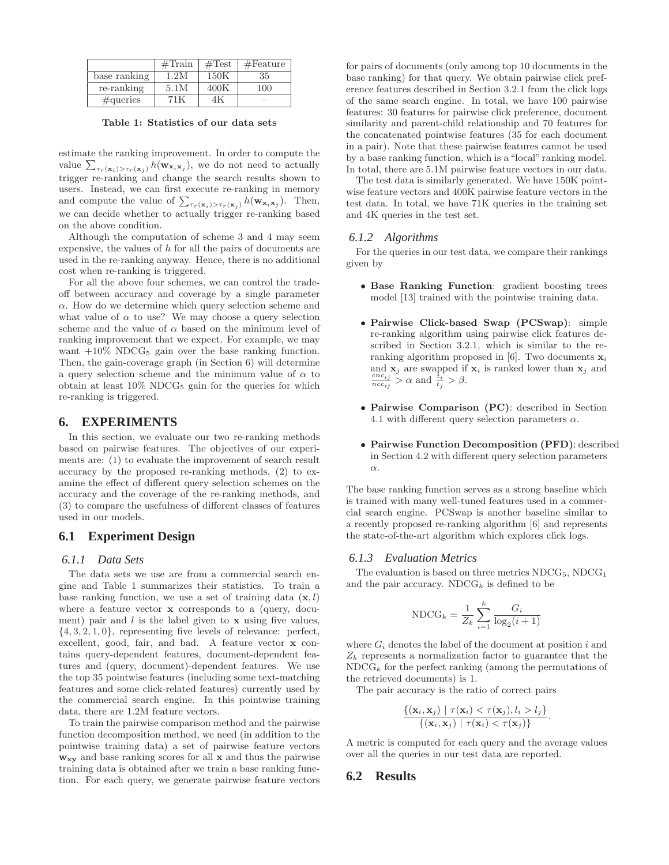|                    | #Train | $\#\text{Test}$ | #Feature |
|--------------------|--------|-----------------|----------|
| base ranking       | 1.2M   | 150K            | 35       |
| re-ranking         | 5.1M   | 400K            | 100      |
| $\#\text{queries}$ | 71 K   |                 |          |

Table 1: Statistics of our data sets

estimate the ranking improvement. In order to compute the value  $\sum_{\tau_r(\mathbf{x}_i) > \tau_r(\mathbf{x}_j)} h(\mathbf{w}_{\mathbf{x}_i \mathbf{x}_j})$ , we do not need to actually trigger re-ranking and change the search results shown to users. Instead, we can first execute re-ranking in memory and compute the value of  $\sum_{\tau_r(\mathbf{x}_i) > \tau_r(\mathbf{x}_j)} h(\mathbf{w}_{\mathbf{x}_i \mathbf{x}_j})$ . Then, we can decide whether to actually trigger re-ranking based on the above condition.

Although the computation of scheme 3 and 4 may seem expensive, the values of h for all the pairs of documents are used in the re-ranking anyway. Hence, there is no additional cost when re-ranking is triggered.

For all the above four schemes, we can control the tradeoff between accuracy and coverage by a single parameter  $\alpha$ . How do we determine which query selection scheme and what value of  $\alpha$  to use? We may choose a query selection scheme and the value of  $\alpha$  based on the minimum level of ranking improvement that we expect. For example, we may want  $+10\%$  NDCG<sub>5</sub> gain over the base ranking function. Then, the gain-coverage graph (in Section 6) will determine a query selection scheme and the minimum value of  $\alpha$  to obtain at least  $10\%$  NDC $G<sub>5</sub>$  gain for the queries for which re-ranking is triggered.

## **6. EXPERIMENTS**

In this section, we evaluate our two re-ranking methods based on pairwise features. The objectives of our experiments are: (1) to evaluate the improvement of search result accuracy by the proposed re-ranking methods, (2) to examine the effect of different query selection schemes on the accuracy and the coverage of the re-ranking methods, and (3) to compare the usefulness of different classes of features used in our models.

## **6.1 Experiment Design**

#### *6.1.1 Data Sets*

The data sets we use are from a commercial search engine and Table 1 summarizes their statistics. To train a base ranking function, we use a set of training data  $(\mathbf{x}, l)$ where a feature vector x corresponds to a (query, document) pair and  $l$  is the label given to  $x$  using five values,  $\{4, 3, 2, 1, 0\}$ , representing five levels of relevance: perfect, excellent, good, fair, and bad. A feature vector x contains query-dependent features, document-dependent features and (query, document)-dependent features. We use the top 35 pointwise features (including some text-matching features and some click-related features) currently used by the commercial search engine. In this pointwise training data, there are 1.2M feature vectors.

To train the pairwise comparison method and the pairwise function decomposition method, we need (in addition to the pointwise training data) a set of pairwise feature vectors  $w_{xy}$  and base ranking scores for all x and thus the pairwise training data is obtained after we train a base ranking function. For each query, we generate pairwise feature vectors

for pairs of documents (only among top 10 documents in the base ranking) for that query. We obtain pairwise click preference features described in Section 3.2.1 from the click logs of the same search engine. In total, we have 100 pairwise features: 30 features for pairwise click preference, document similarity and parent-child relationship and 70 features for the concatenated pointwise features (35 for each document in a pair). Note that these pairwise features cannot be used by a base ranking function, which is a "local" ranking model. In total, there are 5.1M pairwise feature vectors in our data.

The test data is similarly generated. We have 150K pointwise feature vectors and 400K pairwise feature vectors in the test data. In total, we have 71K queries in the training set and 4K queries in the test set.

#### *6.1.2 Algorithms*

For the queries in our test data, we compare their rankings given by

- Base Ranking Function: gradient boosting trees model [13] trained with the pointwise training data.
- Pairwise Click-based Swap (PCSwap): simple re-ranking algorithm using pairwise click features described in Section 3.2.1, which is similar to the reranking algorithm proposed in [6]. Two documents  $x_i$ and  $\mathbf{x}_j$  are swapped if  $\mathbf{x}_i$  is ranked lower than  $\mathbf{x}_j$  and  $_{cnc_{ij}} \geq c$  and  $_{i}^{t_i} \geq c$  $\frac{cnc_{ij}}{ncc_{ij}} > \alpha$  and  $\frac{\overline{t_i}}{t_j} > \beta$ .
- Pairwise Comparison (PC): described in Section 4.1 with different query selection parameters  $\alpha$ .
- Pairwise Function Decomposition (PFD): described in Section 4.2 with different query selection parameters α.

The base ranking function serves as a strong baseline which is trained with many well-tuned features used in a commercial search engine. PCSwap is another baseline similar to a recently proposed re-ranking algorithm [6] and represents the state-of-the-art algorithm which explores click logs.

#### *6.1.3 Evaluation Metrics*

The evaluation is based on three metrics  $NDCG_5$ ,  $NDCG_1$ and the pair accuracy.  $NDCG_k$  is defined to be

$$
\text{NDCG}_k = \frac{1}{Z_k} \sum_{i=1}^k \frac{G_i}{\log_2(i+1)}
$$

where  $G_i$  denotes the label of the document at position i and  $Z_k$  represents a normalization factor to guarantee that the  $NDCG_k$  for the perfect ranking (among the permutations of the retrieved documents) is 1.

The pair accuracy is the ratio of correct pairs

$$
\frac{\{(\mathbf{x}_i,\mathbf{x}_j) \mid \tau(\mathbf{x}_i) < \tau(\mathbf{x}_j), l_i > l_j\}}{\{(\mathbf{x}_i,\mathbf{x}_j) \mid \tau(\mathbf{x}_i) < \tau(\mathbf{x}_j)\}}.
$$

A metric is computed for each query and the average values over all the queries in our test data are reported.

## **6.2 Results**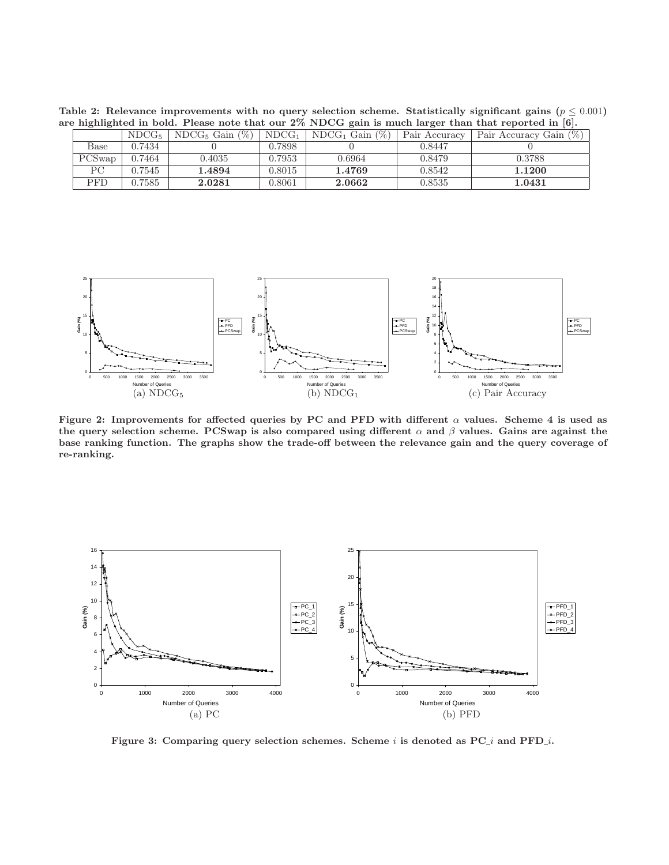Table 2: Relevance improvements with no query selection scheme. Statistically significant gains ( $p \le 0.001$ ) are highlighted in bold. Please note that our 2% NDCG gain is much larger than that reported in [6].

|            | NDCG <sub>5</sub> | $NDCG_5$ Gain $(\%)$ | $NDCG_1$ | NDCG <sub>1</sub> Gain $(\%)$ | Pair Accuracy | $(\% )$<br>Pair Accuracy Gain |
|------------|-------------------|----------------------|----------|-------------------------------|---------------|-------------------------------|
| Base       | 0.7434            |                      | 0.7898   |                               | 0.8447        |                               |
| PCSwap     | 0.7464            | 0.4035               | 0.7953   | 0.6964                        | 0.8479        | 0.3788                        |
| PС         | 0.7545            | 1.4894               | 0.8015   | 1.4769                        | 0.8542        | 1.1200                        |
| <b>PFD</b> | 0.7585            | 2.0281               | 0.8061   | 2.0662                        | 0.8535        | 1.0431                        |



Figure 2: Improvements for affected queries by PC and PFD with different  $\alpha$  values. Scheme 4 is used as the query selection scheme. PCSwap is also compared using different  $\alpha$  and  $\beta$  values. Gains are against the base ranking function. The graphs show the trade-off between the relevance gain and the query coverage of re-ranking.



Figure 3: Comparing query selection schemes. Scheme i is denoted as  $PC_i$  and  $PFD_i$ .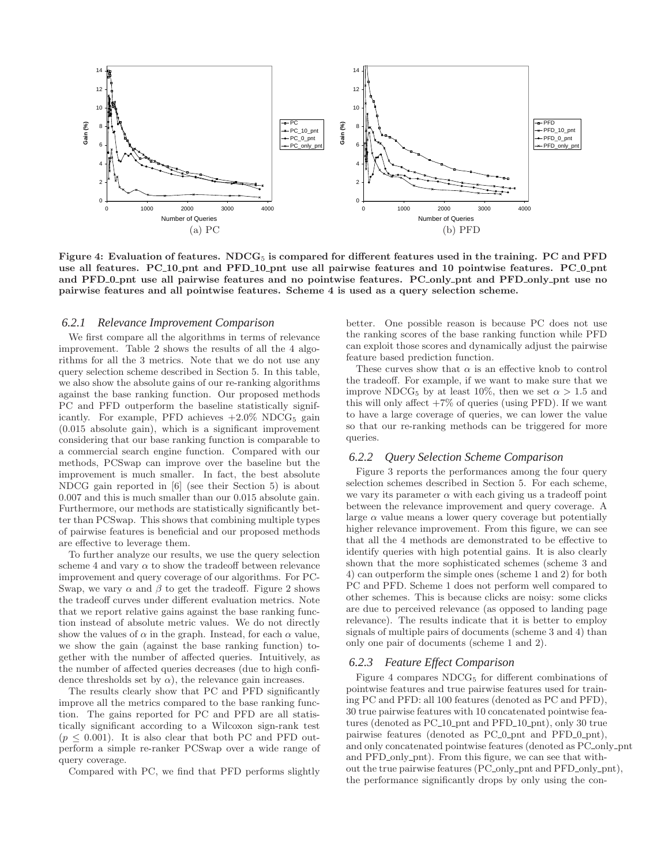

Figure 4: Evaluation of features. NDC $G_5$  is compared for different features used in the training. PC and PFD use all features. PC<sub>-10-pnt</sub> and PFD<sub>-10-pnt</sub> use all pairwise features and 10 pointwise features. PC<sub>-0-pnt</sub> and PFD<sub>-0</sub> pnt use all pairwise features and no pointwise features. PC<sub>-only-pnt and PFD<sub>-only-pnt</sub> use no</sub> pairwise features and all pointwise features. Scheme 4 is used as a query selection scheme.

#### *6.2.1 Relevance Improvement Comparison*

We first compare all the algorithms in terms of relevance improvement. Table 2 shows the results of all the 4 algorithms for all the 3 metrics. Note that we do not use any query selection scheme described in Section 5. In this table, we also show the absolute gains of our re-ranking algorithms against the base ranking function. Our proposed methods PC and PFD outperform the baseline statistically significantly. For example, PFD achieves  $+2.0\%$  NDCG<sub>5</sub> gain (0.015 absolute gain), which is a significant improvement considering that our base ranking function is comparable to a commercial search engine function. Compared with our methods, PCSwap can improve over the baseline but the improvement is much smaller. In fact, the best absolute NDCG gain reported in [6] (see their Section 5) is about 0.007 and this is much smaller than our 0.015 absolute gain. Furthermore, our methods are statistically significantly better than PCSwap. This shows that combining multiple types of pairwise features is beneficial and our proposed methods are effective to leverage them.

To further analyze our results, we use the query selection scheme 4 and vary  $\alpha$  to show the tradeoff between relevance improvement and query coverage of our algorithms. For PC-Swap, we vary  $\alpha$  and  $\beta$  to get the tradeoff. Figure 2 shows the tradeoff curves under different evaluation metrics. Note that we report relative gains against the base ranking function instead of absolute metric values. We do not directly show the values of  $\alpha$  in the graph. Instead, for each  $\alpha$  value, we show the gain (against the base ranking function) together with the number of affected queries. Intuitively, as the number of affected queries decreases (due to high confidence thresholds set by  $\alpha$ ), the relevance gain increases.

The results clearly show that PC and PFD significantly improve all the metrics compared to the base ranking function. The gains reported for PC and PFD are all statistically significant according to a Wilcoxon sign-rank test  $(p \leq 0.001)$ . It is also clear that both PC and PFD outperform a simple re-ranker PCSwap over a wide range of query coverage.

Compared with PC, we find that PFD performs slightly

better. One possible reason is because PC does not use the ranking scores of the base ranking function while PFD can exploit those scores and dynamically adjust the pairwise feature based prediction function.

These curves show that  $\alpha$  is an effective knob to control the tradeoff. For example, if we want to make sure that we improve NDCG<sub>5</sub> by at least 10\%, then we set  $\alpha > 1.5$  and this will only affect  $+7\%$  of queries (using PFD). If we want to have a large coverage of queries, we can lower the value so that our re-ranking methods can be triggered for more queries.

## *6.2.2 Query Selection Scheme Comparison*

Figure 3 reports the performances among the four query selection schemes described in Section 5. For each scheme, we vary its parameter  $\alpha$  with each giving us a tradeoff point between the relevance improvement and query coverage. A large  $\alpha$  value means a lower query coverage but potentially higher relevance improvement. From this figure, we can see that all the 4 methods are demonstrated to be effective to identify queries with high potential gains. It is also clearly shown that the more sophisticated schemes (scheme 3 and 4) can outperform the simple ones (scheme 1 and 2) for both PC and PFD. Scheme 1 does not perform well compared to other schemes. This is because clicks are noisy: some clicks are due to perceived relevance (as opposed to landing page relevance). The results indicate that it is better to employ signals of multiple pairs of documents (scheme 3 and 4) than only one pair of documents (scheme 1 and 2).

#### *6.2.3 Feature Effect Comparison*

Figure 4 compares NDCG<sub>5</sub> for different combinations of pointwise features and true pairwise features used for training PC and PFD: all 100 features (denoted as PC and PFD), 30 true pairwise features with 10 concatenated pointwise features (denoted as PC<sub>-10</sub>-pnt and PFD<sub>-10-pnt</sub>), only 30 true pairwise features (denoted as PC<sub>-0</sub>-pnt and PFD<sub>-0-pnt</sub>), and only concatenated pointwise features (denoted as PC\_only\_pnt and PFD\_only\_pnt). From this figure, we can see that without the true pairwise features (PC\_only\_pnt and PFD\_only\_pnt), the performance significantly drops by only using the con